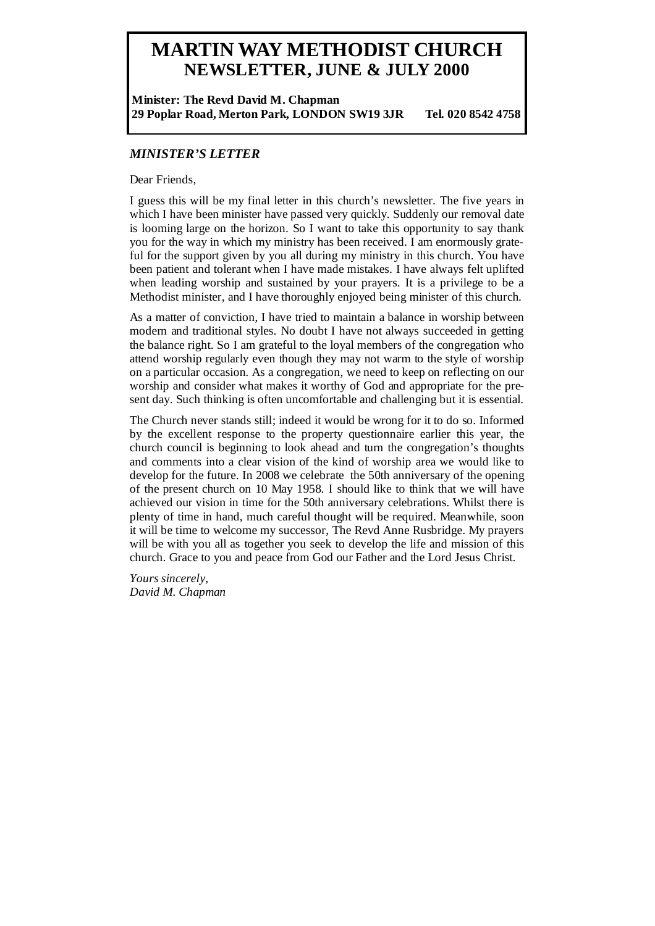# **MARTIN WAY METHODIST CHURCH NEWSLETTER, JUNE & JULY 2000**

**Minister: The Revd David M. Chapman 29 Poplar Road, Merton Park, LONDON SW19 3JR Tel. 020 8542 4758** 

## *MINISTER'S LETTER*

Dear Friends,

I guess this will be my final letter in this church's newsletter. The five years in which I have been minister have passed very quickly. Suddenly our removal date is looming large on the horizon. So I want to take this opportunity to say thank you for the way in which my ministry has been received. I am enormously grateful for the support given by you all during my ministry in this church. You have been patient and tolerant when I have made mistakes. I have always felt uplifted when leading worship and sustained by your prayers. It is a privilege to be a Methodist minister, and I have thoroughly enjoyed being minister of this church.

As a matter of conviction, I have tried to maintain a balance in worship between modern and traditional styles. No doubt I have not always succeeded in getting the balance right. So I am grateful to the loyal members of the congregation who attend worship regularly even though they may not warm to the style of worship on a particular occasion. As a congregation, we need to keep on reflecting on our worship and consider what makes it worthy of God and appropriate for the present day. Such thinking is often uncomfortable and challenging but it is essential.

The Church never stands still; indeed it would be wrong for it to do so. Informed by the excellent response to the property questionnaire earlier this year, the church council is beginning to look ahead and turn the congregation's thoughts and comments into a clear vision of the kind of worship area we would like to develop for the future. In 2008 we celebrate the 50th anniversary of the opening of the present church on 10 May 1958. I should like to think that we will have achieved our vision in time for the 50th anniversary celebrations. Whilst there is plenty of time in hand, much careful thought will be required. Meanwhile, soon it will be time to welcome my successor, The Revd Anne Rusbridge. My prayers will be with you all as together you seek to develop the life and mission of this church. Grace to you and peace from God our Father and the Lord Jesus Christ.

*Yours sincerely, David M. Chapman*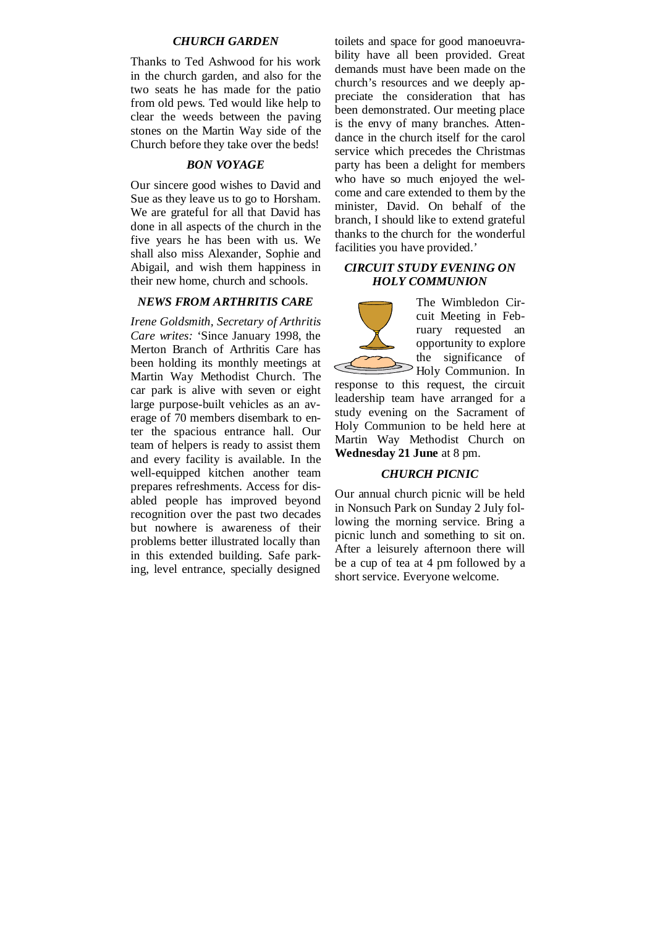## *CHURCH GARDEN*

Thanks to Ted Ashwood for his work in the church garden, and also for the two seats he has made for the patio from old pews. Ted would like help to clear the weeds between the paving stones on the Martin Way side of the Church before they take over the beds!

## *BON VOYAGE*

Our sincere good wishes to David and Sue as they leave us to go to Horsham. We are grateful for all that David has done in all aspects of the church in the five years he has been with us. We shall also miss Alexander, Sophie and Abigail, and wish them happiness in their new home, church and schools.

#### *NEWS FROM ARTHRITIS CARE*

*Irene Goldsmith, Secretary of Arthritis Care writes:* 'Since January 1998, the Merton Branch of Arthritis Care has been holding its monthly meetings at Martin Way Methodist Church. The car park is alive with seven or eight large purpose-built vehicles as an average of 70 members disembark to enter the spacious entrance hall. Our team of helpers is ready to assist them and every facility is available. In the well-equipped kitchen another team prepares refreshments. Access for disabled people has improved beyond recognition over the past two decades but nowhere is awareness of their problems better illustrated locally than in this extended building. Safe parking, level entrance, specially designed

toilets and space for good manoeuvrability have all been provided. Great demands must have been made on the church's resources and we deeply appreciate the consideration that has been demonstrated. Our meeting place is the envy of many branches. Attendance in the church itself for the carol service which precedes the Christmas party has been a delight for members who have so much enjoyed the welcome and care extended to them by the minister, David. On behalf of the branch, I should like to extend grateful thanks to the church for the wonderful facilities you have provided.'

#### *CIRCUIT STUDY EVENING ON HOLY COMMUNION*

The Wimbledon Circuit Meeting in February requested an opportunity to explore the significance of Holy Communion. In response to this request, the circuit leadership team have arranged for a study evening on the Sacrament of Holy Communion to be held here at

#### *CHURCH PICNIC*

Martin Way Methodist Church on

**Wednesday 21 June** at 8 pm.

Our annual church picnic will be held in Nonsuch Park on Sunday 2 July following the morning service. Bring a picnic lunch and something to sit on. After a leisurely afternoon there will be a cup of tea at 4 pm followed by a short service. Everyone welcome.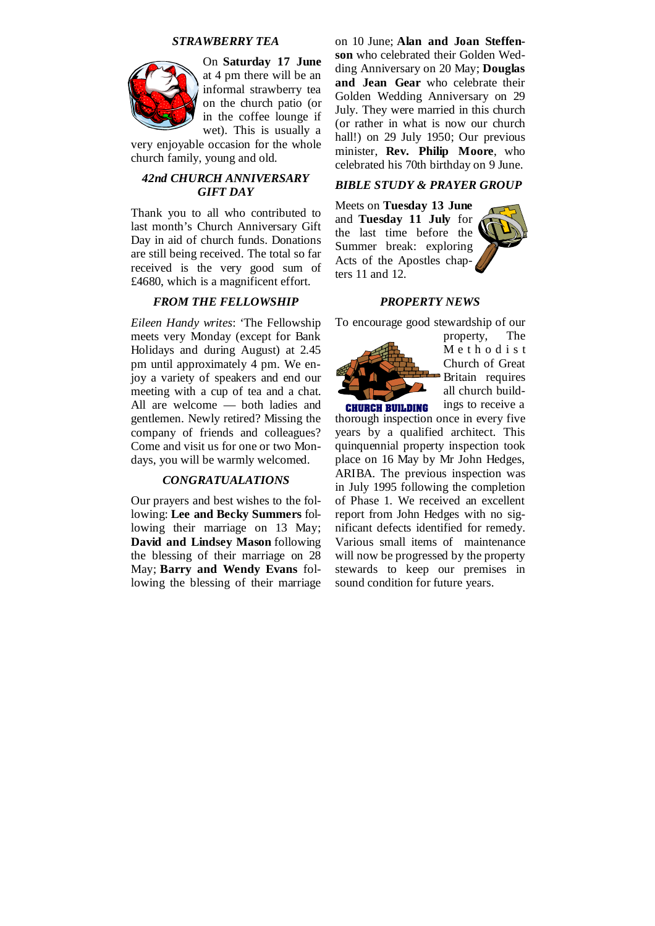## *STRAWBERRY TEA*



On **Saturday 17 June**  at 4 pm there will be an informal strawberry tea on the church patio (or in the coffee lounge if wet). This is usually a

very enjoyable occasion for the whole church family, young and old.

## *42nd CHURCH ANNIVERSARY GIFT DAY*

Thank you to all who contributed to last month's Church Anniversary Gift Day in aid of church funds. Donations are still being received. The total so far received is the very good sum of £4680, which is a magnificent effort.

#### *FROM THE FELLOWSHIP*

*Eileen Handy writes*: 'The Fellowship meets very Monday (except for Bank Holidays and during August) at 2.45 pm until approximately 4 pm. We enjoy a variety of speakers and end our meeting with a cup of tea and a chat. All are welcome — both ladies and gentlemen. Newly retired? Missing the company of friends and colleagues? Come and visit us for one or two Mondays, you will be warmly welcomed.

#### *CONGRATUALATIONS*

Our prayers and best wishes to the following: **Lee and Becky Summers** following their marriage on 13 May; **David and Lindsey Mason** following the blessing of their marriage on 28 May; **Barry and Wendy Evans** following the blessing of their marriage on 10 June; **Alan and Joan Steffenson** who celebrated their Golden Wedding Anniversary on 20 May; **Douglas and Jean Gear** who celebrate their Golden Wedding Anniversary on 29 July. They were married in this church (or rather in what is now our church hall!) on 29 July 1950; Our previous minister, **Rev. Philip Moore**, who celebrated his 70th birthday on 9 June.

## *BIBLE STUDY & PRAYER GROUP*

Meets on **Tuesday 13 June**  and **Tuesday 11 July** for the last time before the Summer break: exploring Acts of the Apostles chapters 11 and 12.



#### *PROPERTY NEWS*

To encourage good stewardship of our



property, The M e t h o d i s t Church of Great Britain requires all church buildings to receive a

thorough inspection once in every five years by a qualified architect. This quinquennial property inspection took place on 16 May by Mr John Hedges, ARIBA. The previous inspection was in July 1995 following the completion of Phase 1. We received an excellent report from John Hedges with no significant defects identified for remedy. Various small items of maintenance will now be progressed by the property stewards to keep our premises in sound condition for future years.